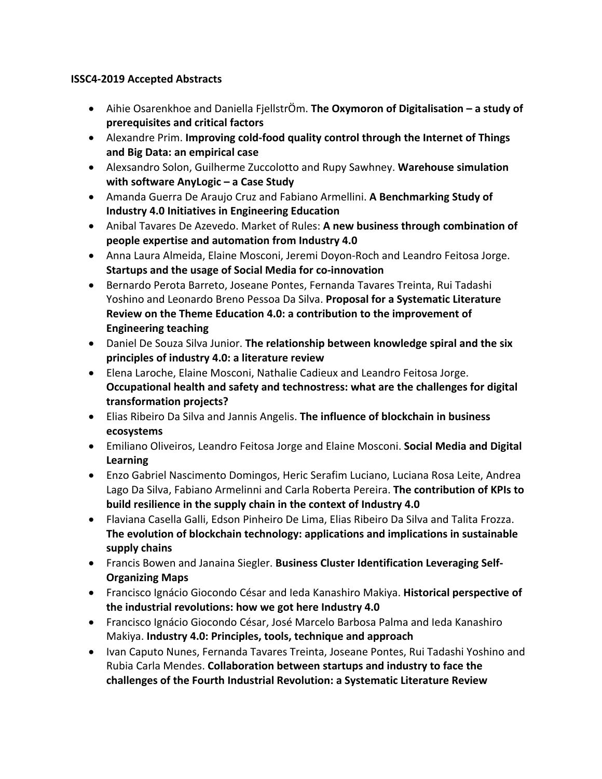## **ISSC4-2019 Accepted Abstracts**

- Aihie Osarenkhoe and Daniella FjellstrÖm. **The Oxymoron of Digitalisation – a study of prerequisites and critical factors**
- Alexandre Prim. **Improving cold-food quality control through the Internet of Things and Big Data: an empirical case**
- Alexsandro Solon, Guilherme Zuccolotto and Rupy Sawhney. **Warehouse simulation with software AnyLogic – a Case Study**
- Amanda Guerra De Araujo Cruz and Fabiano Armellini. **A Benchmarking Study of Industry 4.0 Initiatives in Engineering Education**
- Anibal Tavares De Azevedo. Market of Rules: **A new business through combination of people expertise and automation from Industry 4.0**
- Anna Laura Almeida, Elaine Mosconi, Jeremi Doyon-Roch and Leandro Feitosa Jorge. **Startups and the usage of Social Media for co-innovation**
- Bernardo Perota Barreto, Joseane Pontes, Fernanda Tavares Treinta, Rui Tadashi Yoshino and Leonardo Breno Pessoa Da Silva. **Proposal for a Systematic Literature Review on the Theme Education 4.0: a contribution to the improvement of Engineering teaching**
- Daniel De Souza Silva Junior. **The relationship between knowledge spiral and the six principles of industry 4.0: a literature review**
- Elena Laroche, Elaine Mosconi, Nathalie Cadieux and Leandro Feitosa Jorge. **Occupational health and safety and technostress: what are the challenges for digital transformation projects?**
- Elias Ribeiro Da Silva and Jannis Angelis. **The influence of blockchain in business ecosystems**
- Emiliano Oliveiros, Leandro Feitosa Jorge and Elaine Mosconi. **Social Media and Digital Learning**
- Enzo Gabriel Nascimento Domingos, Heric Serafim Luciano, Luciana Rosa Leite, Andrea Lago Da Silva, Fabiano Armelinni and Carla Roberta Pereira. **The contribution of KPIs to build resilience in the supply chain in the context of Industry 4.0**
- Flaviana Casella Galli, Edson Pinheiro De Lima, Elias Ribeiro Da Silva and Talita Frozza. **The evolution of blockchain technology: applications and implications in sustainable supply chains**
- Francis Bowen and Janaina Siegler. **Business Cluster Identification Leveraging Self-Organizing Maps**
- Francisco Ignácio Giocondo César and Ieda Kanashiro Makiya. **Historical perspective of the industrial revolutions: how we got here Industry 4.0**
- Francisco Ignácio Giocondo César, José Marcelo Barbosa Palma and Ieda Kanashiro Makiya. **Industry 4.0: Principles, tools, technique and approach**
- Ivan Caputo Nunes, Fernanda Tavares Treinta, Joseane Pontes, Rui Tadashi Yoshino and Rubia Carla Mendes. **Collaboration between startups and industry to face the challenges of the Fourth Industrial Revolution: a Systematic Literature Review**